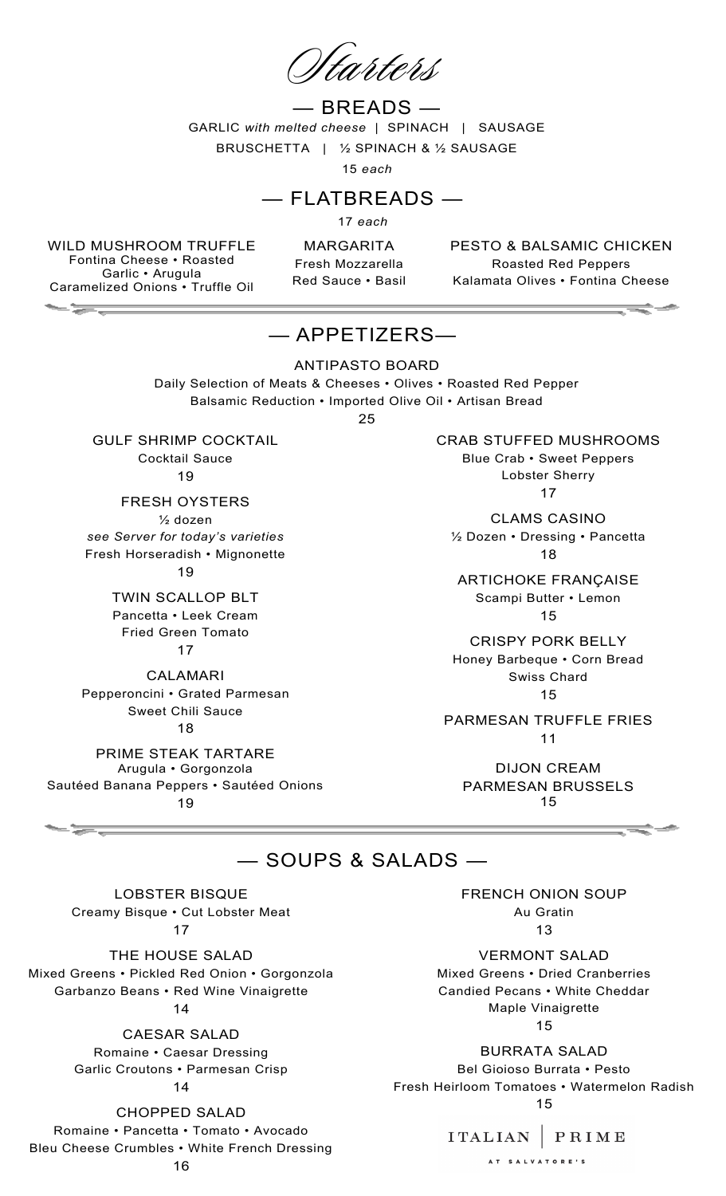## $-$  BREADS  $-$ GARLIC *with melted cheese* | SPINACH | SAUSAGE

BRUSCHETTA | ½ SPINACH & ½ SAUSAGE

15 *each*

### — FLATBREADS —

17 *each*

WILD MUSHROOM TRUFFLE Fontina Cheese • Roasted Garlic • Arugula Caramelized Onions • Truffle Oil

 $-\frac{1}{2}$ 

MARGARITA Fresh Mozzarella Red Sauce • Basil PESTO & BALSAMIC CHICKEN Roasted Red Peppers Kalamata Olives • Fontina Cheese

# — APPETIZERS—

ANTIPASTO BOARD Daily Selection of Meats & Cheeses • Olives • Roasted Red Pepper Balsamic Reduction • Imported Olive Oil • Artisan Bread

25

GULF SHRIMP COCKTAIL Cocktail Sauce 19

FRESH OYSTERS ½ dozen *see Server for today's varieties* Fresh Horseradish • Mignonette 19

> TWIN SCALLOP BLT Pancetta • Leek Cream Fried Green Tomato 17

CALAMARI Pepperoncini • Grated Parmesan Sweet Chili Sauce 18

PRIME STEAK TARTARE Arugula • Gorgonzola Sautéed Banana Peppers • Sautéed Onions 19

CRAB STUFFED MUSHROOMS

Blue Crab • Sweet Peppers Lobster Sherry 17

CLAMS CASINO

½ Dozen • Dressing • Pancetta 18

ARTICHOKE FRANÇAISE Scampi Butter • Lemon 15

CRISPY PORK BELLY Honey Barbeque • Corn Bread Swiss Chard 15

PARMESAN TRUFFLE FRIES 11

DIJON CREAM PARMESAN BRUSSELS 15

### — SOUPS & SALADS —

LOBSTER BISQUE Creamy Bisque • Cut Lobster Meat 17

THE HOUSE SALAD Mixed Greens • Pickled Red Onion • Gorgonzola Garbanzo Beans • Red Wine Vinaigrette 14

> CAESAR SALAD Romaine • Caesar Dressing Garlic Croutons • Parmesan Crisp

14

CHOPPED SALAD

Romaine • Pancetta • Tomato • Avocado Bleu Cheese Crumbles • White French Dressing 16

FRENCH ONION SOUP Au Gratin 13

VERMONT SALAD Mixed Greens • Dried Cranberries Candied Pecans • White Cheddar Maple Vinaigrette 15

BURRATA SALAD Bel Gioioso Burrata • Pesto Fresh Heirloom Tomatoes • Watermelon Radish 15

### ITALIAN | PRIME

AT SALVATORE'S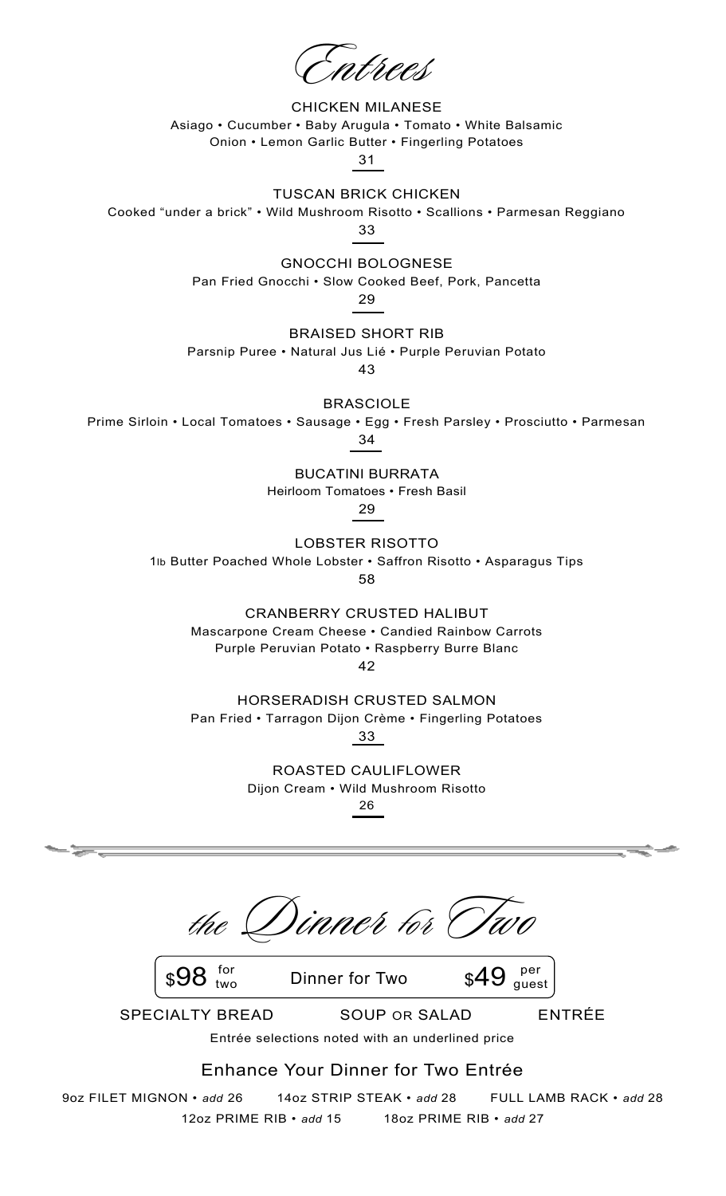CHICKEN MILANESE Asiago • Cucumber • Baby Arugula • Tomato • White Balsamic Onion • Lemon Garlic Butter • Fingerling Potatoes

31

TUSCAN BRICK CHICKEN

Cooked "under a brick" • Wild Mushroom Risotto • Scallions • Parmesan Reggiano

33

GNOCCHI BOLOGNESE

Pan Fried Gnocchi • Slow Cooked Beef, Pork, Pancetta

29

BRAISED SHORT RIB

Parsnip Puree • Natural Jus Lié • Purple Peruvian Potato

43

BRASCIOLE

Prime Sirloin • Local Tomatoes • Sausage • Egg • Fresh Parsley • Prosciutto • Parmesan

34

BUCATINI BURRATA

Heirloom Tomatoes • Fresh Basil

29

LOBSTER RISOTTO

1lb Butter Poached Whole Lobster • Saffron Risotto • Asparagus Tips

58

CRANBERRY CRUSTED HALIBUT

Mascarpone Cream Cheese • Candied Rainbow Carrots Purple Peruvian Potato • Raspberry Burre Blanc

42

HORSERADISH CRUSTED SALMON Pan Fried • Tarragon Dijon Crème • Fingerling Potatoes 33

> ROASTED CAULIFLOWER Dijon Cream • Wild Mushroom Risotto

26

the Dinner tor

 $\frac{1}{2}$  for Dinner for Two  $\frac{1}{2}49$ two per guest

SPECIALTY BREAD SOUP OR SALAD ENTRÉE Entrée selections noted with an underlined price

Enhance Your Dinner for Two Entrée

9oz FILET MIGNON • *add* 26 14oz STRIP STEAK • *add* 28 FULL LAMB RACK • *add* 28 12oz PRIME RIB • *add* 15 18oz PRIME RIB • *add* 27